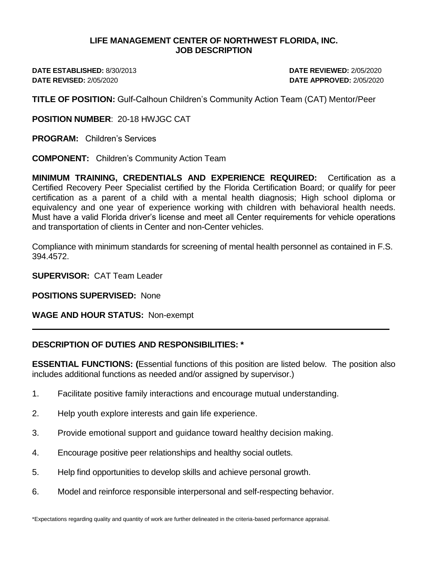## **LIFE MANAGEMENT CENTER OF NORTHWEST FLORIDA, INC. JOB DESCRIPTION**

**DATE ESTABLISHED:** 8/30/2013 **DATE REVIEWED:** 2/05/2020 **DATE REVISED:** 2/05/2020 **DATE APPROVED:** 2/05/2020

**TITLE OF POSITION:** Gulf-Calhoun Children's Community Action Team (CAT) Mentor/Peer

**POSITION NUMBER**: 20-18 HWJGC CAT

**PROGRAM:** Children's Services

**COMPONENT:** Children's Community Action Team

**MINIMUM TRAINING, CREDENTIALS AND EXPERIENCE REQUIRED:** Certification as a Certified Recovery Peer Specialist certified by the Florida Certification Board; or qualify for peer certification as a parent of a child with a mental health diagnosis; High school diploma or equivalency and one year of experience working with children with behavioral health needs. Must have a valid Florida driver's license and meet all Center requirements for vehicle operations and transportation of clients in Center and non-Center vehicles.

Compliance with minimum standards for screening of mental health personnel as contained in F.S. 394.4572.

**SUPERVISOR:** CAT Team Leader

**POSITIONS SUPERVISED:** None

**WAGE AND HOUR STATUS:** Non-exempt

## **DESCRIPTION OF DUTIES AND RESPONSIBILITIES: \***

**ESSENTIAL FUNCTIONS: (**Essential functions of this position are listed below. The position also includes additional functions as needed and/or assigned by supervisor.)

- 1. Facilitate positive family interactions and encourage mutual understanding.
- 2. Help youth explore interests and gain life experience.
- 3. Provide emotional support and guidance toward healthy decision making.
- 4. Encourage positive peer relationships and healthy social outlets.
- 5. Help find opportunities to develop skills and achieve personal growth.
- 6. Model and reinforce responsible interpersonal and self-respecting behavior.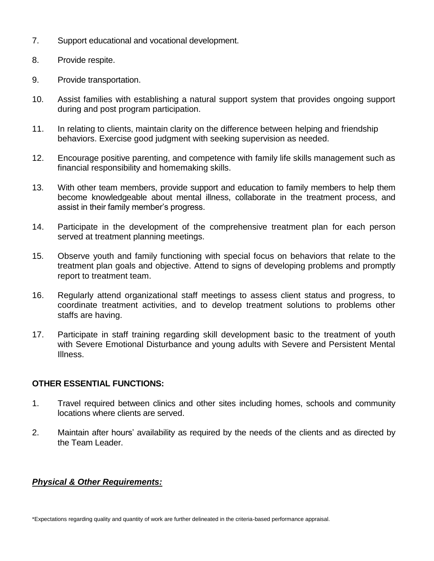- 7. Support educational and vocational development.
- 8. Provide respite.
- 9. Provide transportation.
- 10. Assist families with establishing a natural support system that provides ongoing support during and post program participation.
- 11. In relating to clients, maintain clarity on the difference between helping and friendship behaviors. Exercise good judgment with seeking supervision as needed.
- 12. Encourage positive parenting, and competence with family life skills management such as financial responsibility and homemaking skills.
- 13. With other team members, provide support and education to family members to help them become knowledgeable about mental illness, collaborate in the treatment process, and assist in their family member's progress.
- 14. Participate in the development of the comprehensive treatment plan for each person served at treatment planning meetings.
- 15. Observe youth and family functioning with special focus on behaviors that relate to the treatment plan goals and objective. Attend to signs of developing problems and promptly report to treatment team.
- 16. Regularly attend organizational staff meetings to assess client status and progress, to coordinate treatment activities, and to develop treatment solutions to problems other staffs are having.
- 17. Participate in staff training regarding skill development basic to the treatment of youth with Severe Emotional Disturbance and young adults with Severe and Persistent Mental Illness.

## **OTHER ESSENTIAL FUNCTIONS:**

- 1. Travel required between clinics and other sites including homes, schools and community locations where clients are served.
- 2. Maintain after hours' availability as required by the needs of the clients and as directed by the Team Leader.

## *Physical & Other Requirements:*

\*Expectations regarding quality and quantity of work are further delineated in the criteria-based performance appraisal.